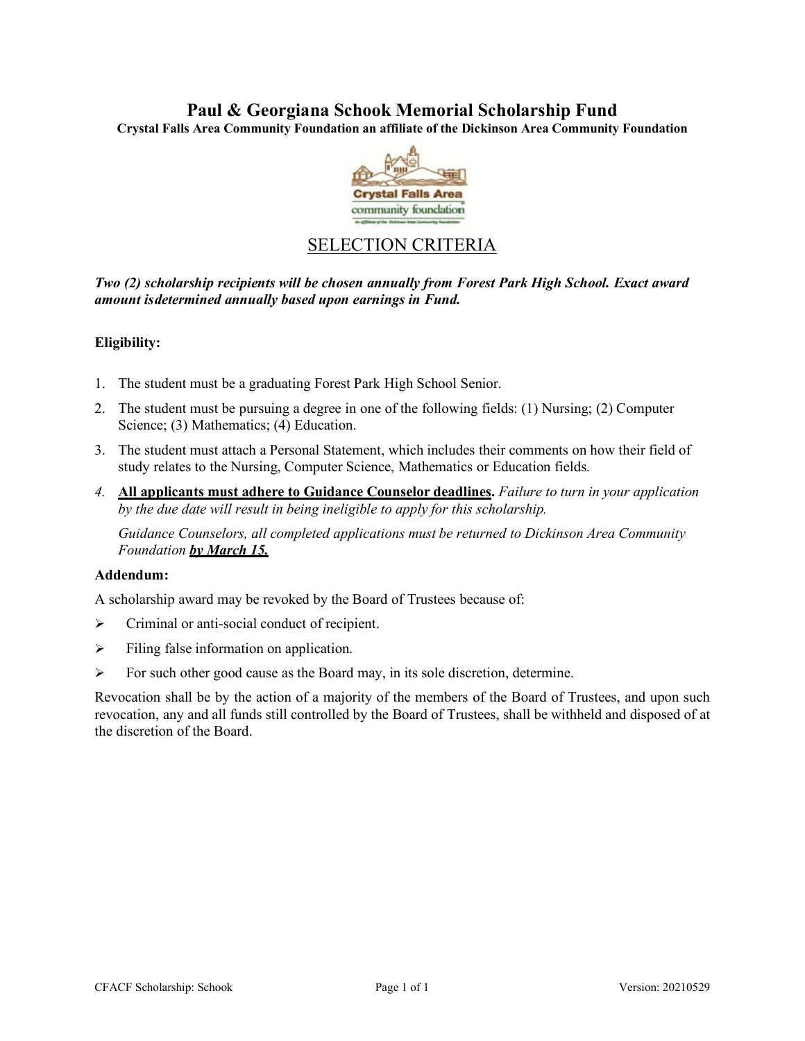# **Paul & Georgiana Schook Memorial Scholarship Fund**

**Crystal Falls Area Community Foundation an affiliate of the Dickinson Area Community Foundation**



# SELECTION CRITERIA

*Two (2) scholarship recipients will be chosen annually from Forest Park High School. Exact award amount isdetermined annually based upon earnings in Fund.*

## **Eligibility:**

- 1. The student must be a graduating Forest Park High School Senior.
- 2. The student must be pursuing a degree in one of the following fields: (1) Nursing; (2) Computer Science; (3) Mathematics; (4) Education.
- 3. The student must attach a Personal Statement, which includes their comments on how their field of study relates to the Nursing, Computer Science, Mathematics or Education fields.
- *4.* **All applicants must adhere to Guidance Counselor deadlines.** *Failure to turn in your application by the due date will result in being ineligible to apply for this scholarship.*

*Guidance Counselors, all completed applications must be returned to Dickinson Area Community Foundation by March 15.*

## **Addendum:**

A scholarship award may be revoked by the Board of Trustees because of:

- $\triangleright$  Criminal or anti-social conduct of recipient.
- $\triangleright$  Filing false information on application.
- $\triangleright$  For such other good cause as the Board may, in its sole discretion, determine.

Revocation shall be by the action of a majority of the members of the Board of Trustees, and upon such revocation, any and all funds still controlled by the Board of Trustees, shall be withheld and disposed of at the discretion of the Board.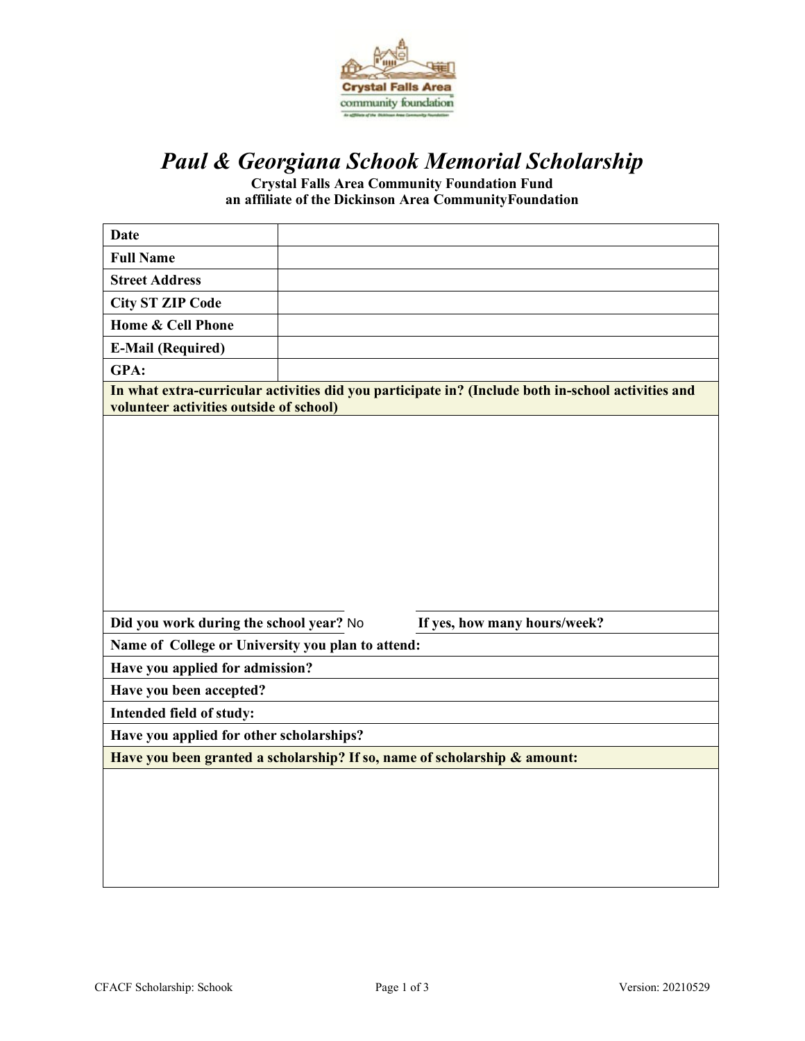

# *Paul & Georgiana Schook Memorial Scholarship*

**Crystal Falls Area Community Foundation Fund an affiliate of the Dickinson Area CommunityFoundation**

| <b>Date</b>                                                                                                                                   |  |                                                                           |  |
|-----------------------------------------------------------------------------------------------------------------------------------------------|--|---------------------------------------------------------------------------|--|
|                                                                                                                                               |  |                                                                           |  |
| <b>Full Name</b>                                                                                                                              |  |                                                                           |  |
| <b>Street Address</b>                                                                                                                         |  |                                                                           |  |
| <b>City ST ZIP Code</b>                                                                                                                       |  |                                                                           |  |
| Home & Cell Phone                                                                                                                             |  |                                                                           |  |
| <b>E-Mail (Required)</b>                                                                                                                      |  |                                                                           |  |
| GPA:                                                                                                                                          |  |                                                                           |  |
| In what extra-curricular activities did you participate in? (Include both in-school activities and<br>volunteer activities outside of school) |  |                                                                           |  |
|                                                                                                                                               |  |                                                                           |  |
|                                                                                                                                               |  |                                                                           |  |
| Did you work during the school year? No                                                                                                       |  | If yes, how many hours/week?                                              |  |
| Name of College or University you plan to attend:                                                                                             |  |                                                                           |  |
| Have you applied for admission?                                                                                                               |  |                                                                           |  |
| Have you been accepted?                                                                                                                       |  |                                                                           |  |
|                                                                                                                                               |  |                                                                           |  |
| Intended field of study:                                                                                                                      |  |                                                                           |  |
| Have you applied for other scholarships?                                                                                                      |  |                                                                           |  |
|                                                                                                                                               |  | Have you been granted a scholarship? If so, name of scholarship & amount: |  |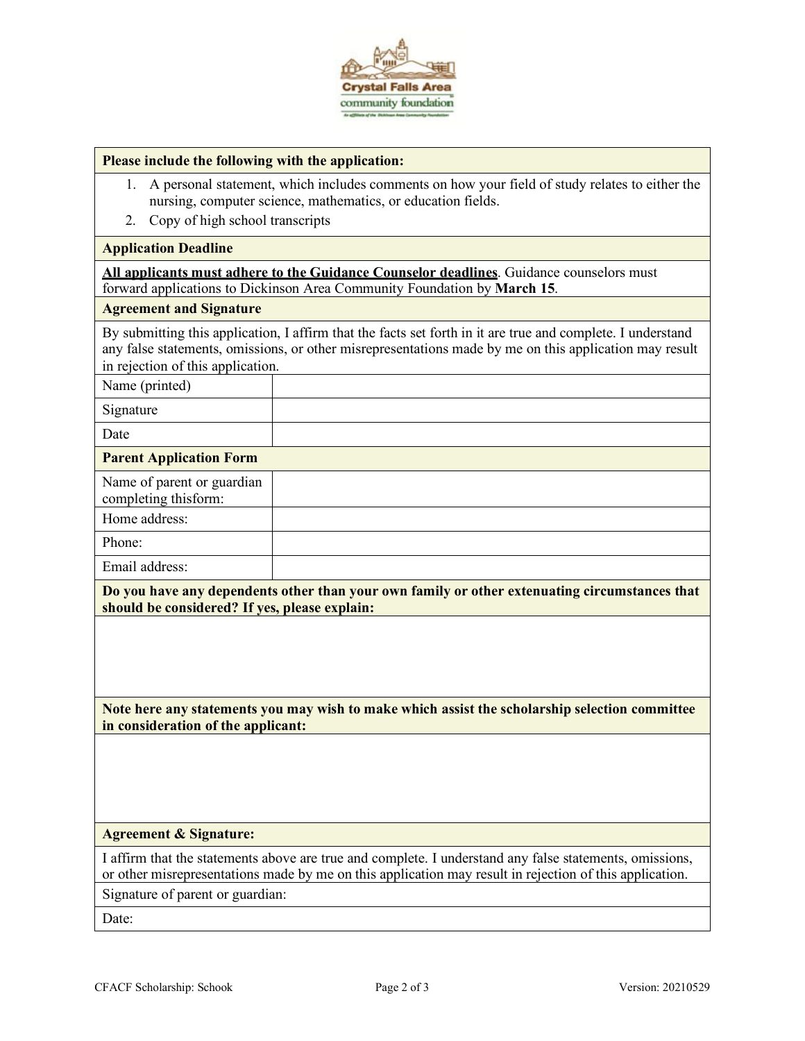

#### **Please include the following with the application:**

- 1. A personal statement, which includes comments on how your field of study relates to either the nursing, computer science, mathematics, or education fields.
- 2. Copy of high school transcripts

#### **Application Deadline**

**All applicants must adhere to the Guidance Counselor deadlines**. Guidance counselors must forward applications to Dickinson Area Community Foundation by **March 15**.

#### **Agreement and Signature**

By submitting this application, I affirm that the facts set forth in it are true and complete. I understand any false statements, omissions, or other misrepresentations made by me on this application may result in rejection of this application.

| Name (printed)                                     |  |
|----------------------------------------------------|--|
| Signature                                          |  |
| Date                                               |  |
| <b>Parent Application Form</b>                     |  |
| Name of parent or guardian<br>completing thisform: |  |
| Home address:                                      |  |
| Phone:                                             |  |
| Email address:                                     |  |

**Do you have any dependents other than your own family or other extenuating circumstances that should be considered? If yes, please explain:**

**Note here any statements you may wish to make which assist the scholarship selection committee in consideration of the applicant:**

#### **Agreement & Signature:**

I affirm that the statements above are true and complete. I understand any false statements, omissions, or other misrepresentations made by me on this application may result in rejection of this application. Signature of parent or guardian:

Date: